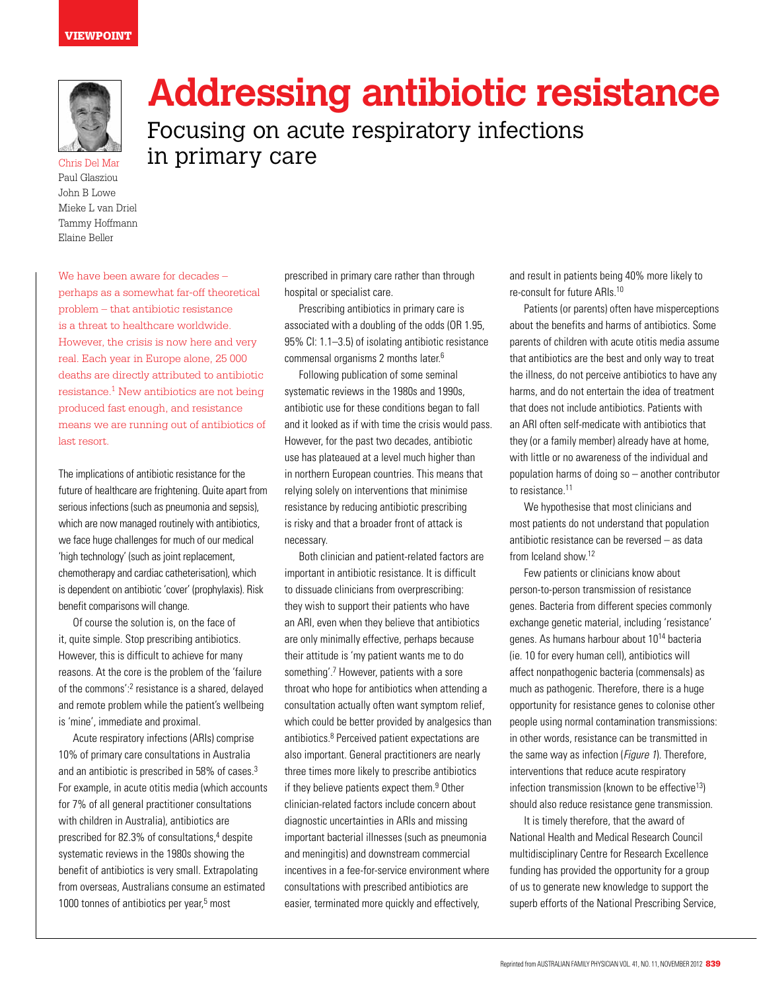## **VIEWPOINT**



Paul Glasziou John B Lowe Mieke L van Driel Tammy Hoffmann Elaine Beller

# **Addressing antibiotic resistance**

Focusing on acute respiratory infections  $\epsilon_{\text{Chris Del Mar}}$  in primary care

We have been aware for decades – perhaps as a somewhat far-off theoretical problem – that antibiotic resistance is a threat to healthcare worldwide. However, the crisis is now here and very real. Each year in Europe alone, 25 000 deaths are directly attributed to antibiotic resistance.1 New antibiotics are not being produced fast enough, and resistance means we are running out of antibiotics of last resort.

The implications of antibiotic resistance for the future of healthcare are frightening. Quite apart from serious infections (such as pneumonia and sepsis), which are now managed routinely with antibiotics, we face huge challenges for much of our medical 'high technology' (such as joint replacement, chemotherapy and cardiac catheterisation), which is dependent on antibiotic 'cover' (prophylaxis). Risk benefit comparisons will change.

Of course the solution is, on the face of it, quite simple. Stop prescribing antibiotics. However, this is difficult to achieve for many reasons. At the core is the problem of the 'failure of the commons':<sup>2</sup> resistance is a shared, delayed and remote problem while the patient's wellbeing is 'mine', immediate and proximal.

Acute respiratory infections (ARIs) comprise 10% of primary care consultations in Australia and an antibiotic is prescribed in 58% of cases.3 For example, in acute otitis media (which accounts for 7% of all general practitioner consultations with children in Australia), antibiotics are prescribed for 82.3% of consultations,<sup>4</sup> despite systematic reviews in the 1980s showing the benefit of antibiotics is very small. Extrapolating from overseas, Australians consume an estimated 1000 tonnes of antibiotics per year,<sup>5</sup> most

prescribed in primary care rather than through hospital or specialist care.

Prescribing antibiotics in primary care is associated with a doubling of the odds (OR 1.95, 95% CI: 1.1–3.5) of isolating antibiotic resistance commensal organisms 2 months later.6

Following publication of some seminal systematic reviews in the 1980s and 1990s, antibiotic use for these conditions began to fall and it looked as if with time the crisis would pass. However, for the past two decades, antibiotic use has plateaued at a level much higher than in northern European countries. This means that relying solely on interventions that minimise resistance by reducing antibiotic prescribing is risky and that a broader front of attack is necessary.

Both clinician and patient-related factors are important in antibiotic resistance. It is difficult to dissuade clinicians from overprescribing: they wish to support their patients who have an ARI, even when they believe that antibiotics are only minimally effective, perhaps because their attitude is 'my patient wants me to do something'.<sup>7</sup> However, patients with a sore throat who hope for antibiotics when attending a consultation actually often want symptom relief, which could be better provided by analgesics than antibiotics.<sup>8</sup> Perceived patient expectations are also important. General practitioners are nearly three times more likely to prescribe antibiotics if they believe patients expect them.<sup>9</sup> Other clinician-related factors include concern about diagnostic uncertainties in ARIs and missing important bacterial illnesses (such as pneumonia and meningitis) and downstream commercial incentives in a fee-for-service environment where consultations with prescribed antibiotics are easier, terminated more quickly and effectively,

and result in patients being 40% more likely to re-consult for future ARIs.10

Patients (or parents) often have misperceptions about the benefits and harms of antibiotics. Some parents of children with acute otitis media assume that antibiotics are the best and only way to treat the illness, do not perceive antibiotics to have any harms, and do not entertain the idea of treatment that does not include antibiotics. Patients with an ARI often self-medicate with antibiotics that they (or a family member) already have at home, with little or no awareness of the individual and population harms of doing so – another contributor to resistance.11

We hypothesise that most clinicians and most patients do not understand that population antibiotic resistance can be reversed – as data from Iceland show.12

Few patients or clinicians know about person-to-person transmission of resistance genes. Bacteria from different species commonly exchange genetic material, including 'resistance' genes. As humans harbour about 1014 bacteria (ie. 10 for every human cell), antibiotics will affect nonpathogenic bacteria (commensals) as much as pathogenic. Therefore, there is a huge opportunity for resistance genes to colonise other people using normal contamination transmissions: in other words, resistance can be transmitted in the same way as infection (Figure 1). Therefore, interventions that reduce acute respiratory infection transmission (known to be effective $13$ ) should also reduce resistance gene transmission.

It is timely therefore, that the award of National Health and Medical Research Council multidisciplinary Centre for Research Excellence funding has provided the opportunity for a group of us to generate new knowledge to support the superb efforts of the National Prescribing Service,